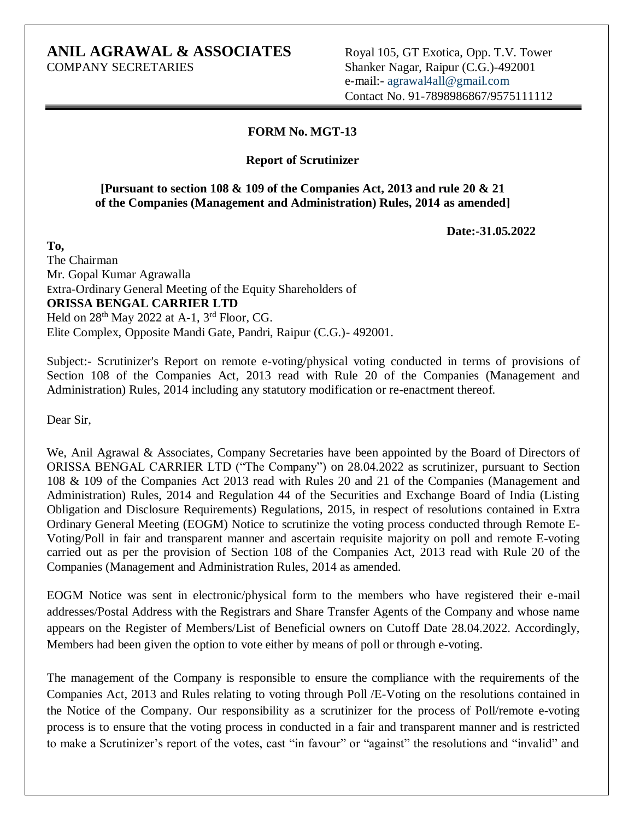## **ANIL AGRAWAL & ASSOCIATES** Royal 105, GT Exotica, Opp. T.V. Tower COMPANY SECRETARIES Shanker Nagar, Raipur (C.G.)-492001

e-mail:- [agrawal4all@gmail.com](mailto:agrawal4all@gmail.com) Contact No. 91-7898986867/9575111112

#### **FORM No. MGT-13**

#### **Report of Scrutinizer**

## **[Pursuant to section 108 & 109 of the Companies Act, 2013 and rule 20 & 21 of the Companies (Management and Administration) Rules, 2014 as amended]**

**Date:-31.05.2022** 

**To,**  The Chairman Mr. Gopal Kumar Agrawalla Extra-Ordinary General Meeting of the Equity Shareholders of **ORISSA BENGAL CARRIER LTD**  Held on  $28<sup>th</sup>$  May 2022 at A-1,  $3<sup>rd</sup>$  Floor, CG. Elite Complex, Opposite Mandi Gate, Pandri, Raipur (C.G.)- 492001.

Subject:- Scrutinizer's Report on remote e-voting/physical voting conducted in terms of provisions of Section 108 of the Companies Act, 2013 read with Rule 20 of the Companies (Management and Administration) Rules, 2014 including any statutory modification or re-enactment thereof.

Dear Sir,

We, Anil Agrawal & Associates, Company Secretaries have been appointed by the Board of Directors of ORISSA BENGAL CARRIER LTD ("The Company") on 28.04.2022 as scrutinizer, pursuant to Section 108 & 109 of the Companies Act 2013 read with Rules 20 and 21 of the Companies (Management and Administration) Rules, 2014 and Regulation 44 of the Securities and Exchange Board of India (Listing Obligation and Disclosure Requirements) Regulations, 2015, in respect of resolutions contained in Extra Ordinary General Meeting (EOGM) Notice to scrutinize the voting process conducted through Remote E-Voting/Poll in fair and transparent manner and ascertain requisite majority on poll and remote E-voting carried out as per the provision of Section 108 of the Companies Act, 2013 read with Rule 20 of the Companies (Management and Administration Rules, 2014 as amended.

EOGM Notice was sent in electronic/physical form to the members who have registered their e-mail addresses/Postal Address with the Registrars and Share Transfer Agents of the Company and whose name appears on the Register of Members/List of Beneficial owners on Cutoff Date 28.04.2022. Accordingly, Members had been given the option to vote either by means of poll or through e-voting.

The management of the Company is responsible to ensure the compliance with the requirements of the Companies Act, 2013 and Rules relating to voting through Poll /E-Voting on the resolutions contained in the Notice of the Company. Our responsibility as a scrutinizer for the process of Poll/remote e-voting process is to ensure that the voting process in conducted in a fair and transparent manner and is restricted to make a Scrutinizer's report of the votes, cast "in favour" or "against" the resolutions and "invalid" and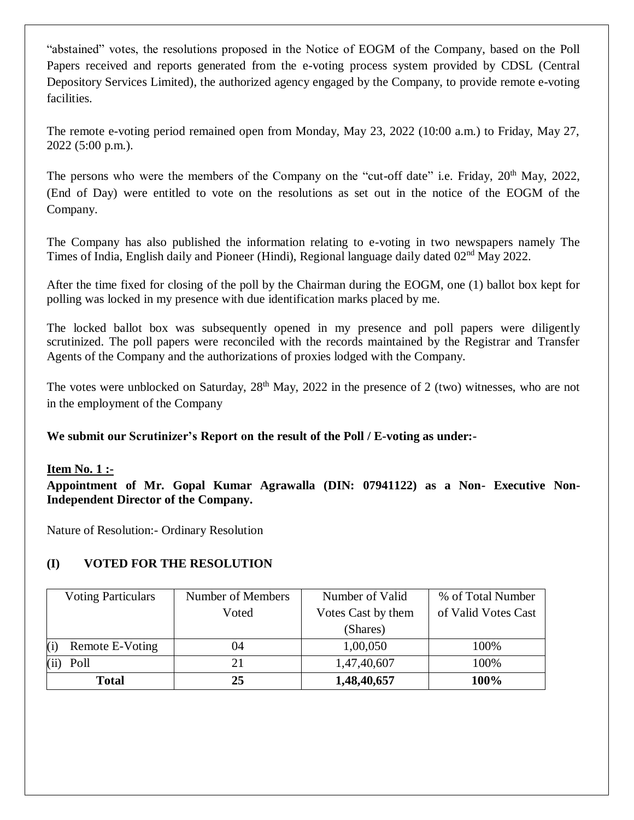"abstained" votes, the resolutions proposed in the Notice of EOGM of the Company, based on the Poll Papers received and reports generated from the e-voting process system provided by CDSL (Central Depository Services Limited), the authorized agency engaged by the Company, to provide remote e-voting facilities.

The remote e-voting period remained open from Monday, May 23, 2022 (10:00 a.m.) to Friday, May 27, 2022 (5:00 p.m.).

The persons who were the members of the Company on the "cut-off date" i.e. Friday, 20<sup>th</sup> May, 2022, (End of Day) were entitled to vote on the resolutions as set out in the notice of the EOGM of the Company.

The Company has also published the information relating to e-voting in two newspapers namely The Times of India, English daily and Pioneer (Hindi), Regional language daily dated 02<sup>nd</sup> May 2022.

After the time fixed for closing of the poll by the Chairman during the EOGM, one (1) ballot box kept for polling was locked in my presence with due identification marks placed by me.

The locked ballot box was subsequently opened in my presence and poll papers were diligently scrutinized. The poll papers were reconciled with the records maintained by the Registrar and Transfer Agents of the Company and the authorizations of proxies lodged with the Company.

The votes were unblocked on Saturday,  $28<sup>th</sup>$  May,  $2022$  in the presence of 2 (two) witnesses, who are not in the employment of the Company

**We submit our Scrutinizer's Report on the result of the Poll / E-voting as under:-**

## **Item No. 1 :-**

**Appointment of Mr. Gopal Kumar Agrawalla (DIN: 07941122) as a Non- Executive Non-Independent Director of the Company.**

Nature of Resolution:- Ordinary Resolution

# **(I) VOTED FOR THE RESOLUTION**

| <b>Voting Particulars</b> | Number of Members | Number of Valid    | % of Total Number   |
|---------------------------|-------------------|--------------------|---------------------|
|                           | Voted             | Votes Cast by them | of Valid Votes Cast |
|                           |                   | (Shares)           |                     |
| Remote E-Voting           | 04                | 1,00,050           | 100%                |
| Poll                      | 21                | 1,47,40,607        | 100%                |
| <b>Total</b>              | 25                | 1,48,40,657        | 100%                |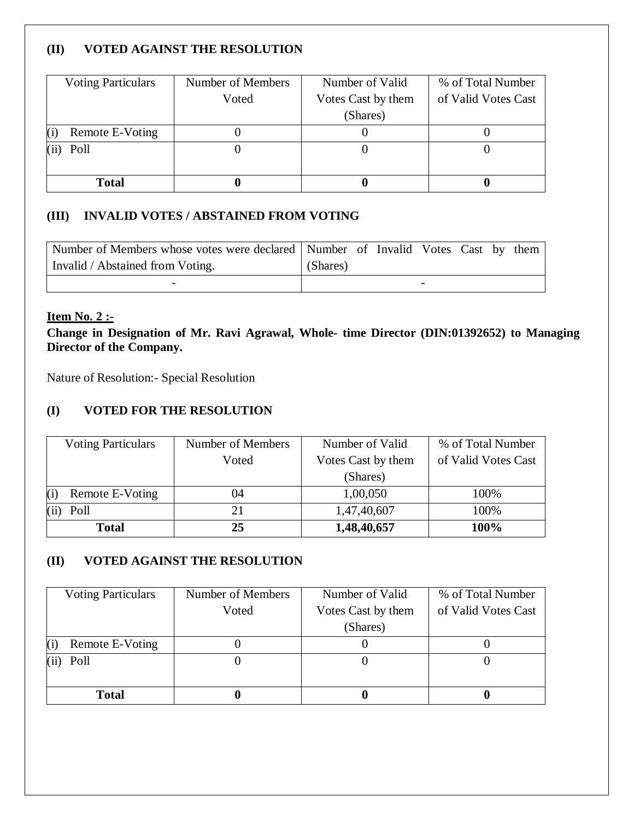# **(II) VOTED AGAINST THE RESOLUTION**

| <b>Voting Particulars</b>            | Number of Members | Number of Valid    | % of Total Number   |
|--------------------------------------|-------------------|--------------------|---------------------|
|                                      | Voted             | Votes Cast by them | of Valid Votes Cast |
|                                      |                   | (Shares)           |                     |
| Remote E-Voting<br>$\left( 1\right)$ |                   |                    |                     |
| Poll                                 |                   |                    |                     |
|                                      |                   |                    |                     |
| <b>Total</b>                         |                   |                    |                     |

## **(III) INVALID VOTES / ABSTAINED FROM VOTING**

| Number of Members whose votes were declared Number of Invalid Votes Cast by them |          |  |  |  |
|----------------------------------------------------------------------------------|----------|--|--|--|
| Invalid / Abstained from Voting.                                                 | (Shares) |  |  |  |
|                                                                                  |          |  |  |  |

# **Item No. 2 :-**

**Change in Designation of Mr. Ravi Agrawal, Whole- time Director (DIN:01392652) to Managing Director of the Company.** 

Nature of Resolution:- Special Resolution

# **(I) VOTED FOR THE RESOLUTION**

| <b>Voting Particulars</b> | Number of Members | Number of Valid    | % of Total Number   |
|---------------------------|-------------------|--------------------|---------------------|
|                           | Voted             | Votes Cast by them | of Valid Votes Cast |
|                           |                   | (Shares)           |                     |
| (i)<br>Remote E-Voting    | 04                | 1,00,050           | 100%                |
| Poll                      | 21                | 1,47,40,607        | 100%                |
| <b>Total</b>              | 25                | 1,48,40,657        | 100%                |

# **(II) VOTED AGAINST THE RESOLUTION**

| <b>Voting Particulars</b> | Number of Members | Number of Valid    | % of Total Number   |
|---------------------------|-------------------|--------------------|---------------------|
|                           | Voted             | Votes Cast by them | of Valid Votes Cast |
|                           |                   | (Shares)           |                     |
| Remote E-Voting           |                   |                    |                     |
| Poll                      |                   |                    |                     |
|                           |                   |                    |                     |
| <b>Total</b>              |                   |                    |                     |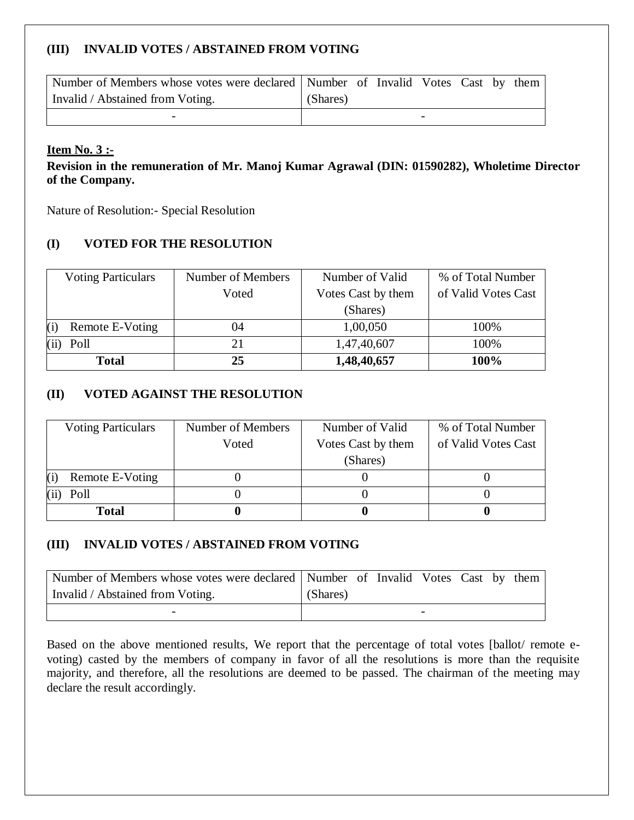## **(III) INVALID VOTES / ABSTAINED FROM VOTING**

| Number of Members whose votes were declared Number of Invalid Votes Cast by them |          |  |  |  |
|----------------------------------------------------------------------------------|----------|--|--|--|
| Invalid / Abstained from Voting.                                                 | (Shares) |  |  |  |
|                                                                                  |          |  |  |  |

#### **Item No. 3 :-**

**Revision in the remuneration of Mr. Manoj Kumar Agrawal (DIN: 01590282), Wholetime Director of the Company.**

Nature of Resolution:- Special Resolution

## **(I) VOTED FOR THE RESOLUTION**

| <b>Voting Particulars</b> | Number of Members | Number of Valid    | % of Total Number   |
|---------------------------|-------------------|--------------------|---------------------|
|                           | Voted             | Votes Cast by them | of Valid Votes Cast |
|                           |                   | (Shares)           |                     |
| (i)<br>Remote E-Voting    | 04                | 1,00,050           | 100%                |
| Poll                      | 21                | 1,47,40,607        | 100%                |
| <b>Total</b>              | 25                | 1,48,40,657        | 100%                |

## **(II) VOTED AGAINST THE RESOLUTION**

| <b>Voting Particulars</b> | Number of Members | Number of Valid    | % of Total Number   |
|---------------------------|-------------------|--------------------|---------------------|
|                           | Voted             | Votes Cast by them | of Valid Votes Cast |
|                           |                   | (Shares)           |                     |
| Remote E-Voting           |                   |                    |                     |
| Poll                      |                   |                    |                     |
| <b>Total</b>              |                   |                    |                     |

## **(III) INVALID VOTES / ABSTAINED FROM VOTING**

| Number of Members whose votes were declared Number of Invalid Votes Cast by |          |  |                          |  | them |
|-----------------------------------------------------------------------------|----------|--|--------------------------|--|------|
| Invalid / Abstained from Voting.                                            | (Shares) |  |                          |  |      |
| $\overline{\phantom{a}}$                                                    |          |  | $\overline{\phantom{0}}$ |  |      |

Based on the above mentioned results, We report that the percentage of total votes [ballot/ remote evoting) casted by the members of company in favor of all the resolutions is more than the requisite majority, and therefore, all the resolutions are deemed to be passed. The chairman of the meeting may declare the result accordingly.